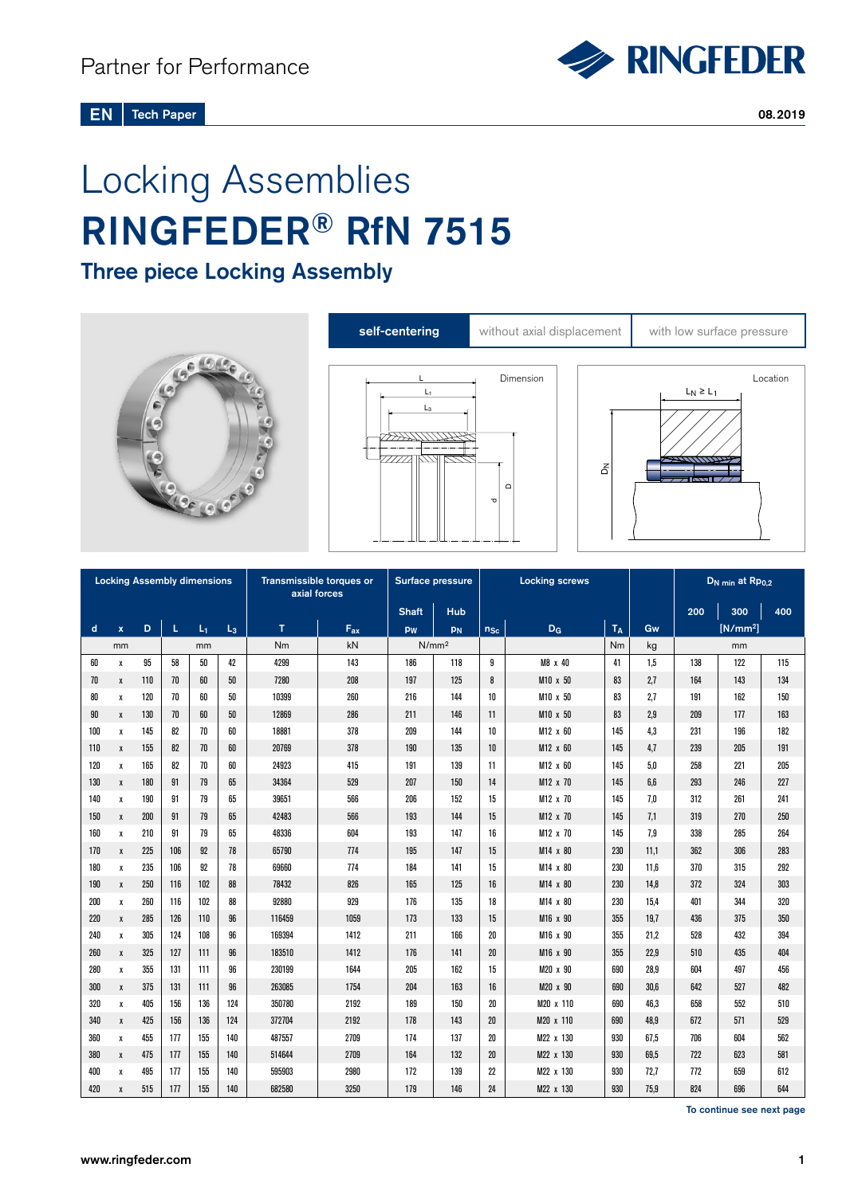# Locking Assemblies RINGFEDER® RfN 7515

Three piece Locking Assembly







|     |              |     |     | <b>Locking Assembly dimensions</b> |       | Transmissible torques or<br>axial forces |                   | Surface pressure |           | <b>Locking screws</b> |                      |       |      |     | D <sub>N min</sub> at Rpo,2 |     |
|-----|--------------|-----|-----|------------------------------------|-------|------------------------------------------|-------------------|------------------|-----------|-----------------------|----------------------|-------|------|-----|-----------------------------|-----|
|     |              |     |     |                                    |       | <b>Shaft</b>                             | Hub               |                  |           |                       |                      | 200   | 300  | 400 |                             |     |
| d   | $\mathbf{x}$ | D   | L   | $L_1$                              | $L_3$ | T                                        | $F_{ax}$          | pw               | <b>PN</b> | $n_{Sc}$              | $D_G$                | $T_A$ | Gw   |     | [N/mm <sup>2</sup> ]        |     |
| mm  |              |     | mm  |                                    | Nm    | kN                                       | N/mm <sup>2</sup> |                  |           |                       | Nm                   | kg    | mm   |     |                             |     |
| 60  | х            | 95  | 58  | 50                                 | 42    | 4299                                     | 143               | 186              | 118       | 9                     | M8 x 40              | 41    | 1,5  | 138 | 122                         | 115 |
| 70  | X            | 110 | 70  | 60                                 | 50    | 7280                                     | 208               | 197              | 125       | 8                     | M10 x 50             | 83    | 2,7  | 164 | 143                         | 134 |
| 80  | х            | 120 | 70  | 60                                 | 50    | 10399                                    | 260               | 216              | 144       | 10                    | M10 x 50             | 83    | 2,7  | 191 | 162                         | 150 |
| 90  | X            | 130 | 70  | 60                                 | 50    | 12869                                    | 286               | 211              | 146       | 11                    | $M10 \times 50$      | 83    | 2.9  | 209 | 177                         | 163 |
| 100 | x            | 145 | 82  | 70                                 | 60    | 18881                                    | 378               | 209              | 144       | 10                    | M12 x 60             | 145   | 4.3  | 231 | 196                         | 182 |
| 110 | x            | 155 | 82  | 70                                 | 60    | 20769                                    | 378               | 190              | 135       | 10                    | M12 x 60             | 145   | 4,7  | 239 | 205                         | 191 |
| 120 | X            | 165 | 82  | 70                                 | 60    | 24923                                    | 415               | 191              | 139       | 11                    | $M12 \times 60$      | 145   | 5.0  | 258 | 221                         | 205 |
| 130 | X            | 180 | 91  | 79                                 | 65    | 34364                                    | 529               | 207              | 150       | 14                    | M12 x 70             | 145   | 6.6  | 293 | 246                         | 227 |
| 140 | $\pmb{\chi}$ | 190 | 91  | 79                                 | 65    | 39651                                    | 566               | 206              | 152       | 15                    | M12 x 70             | 145   | 7.0  | 312 | 261                         | 241 |
| 150 | $\mathbf{x}$ | 200 | 91  | 79                                 | 65    | 42483                                    | 566               | 193              | 144       | 15                    | M12 x 70             | 145   | 7.1  | 319 | 270                         | 250 |
| 160 | X            | 210 | 91  | 79                                 | 65    | 48336                                    | 604               | 193              | 147       | 16                    | M12 x 70             | 145   | 7,9  | 338 | 285                         | 264 |
| 170 | $\pmb{\chi}$ | 225 | 106 | 92                                 | 78    | 65790                                    | 774               | 195              | 147       | 15                    | M14 x 80             | 230   | 11,1 | 362 | 306                         | 283 |
| 180 | $\pmb{\chi}$ | 235 | 106 | 92                                 | 78    | 69660                                    | 774               | 184              | 141       | 15                    | M14 x 80             | 230   | 11.6 | 370 | 315                         | 292 |
| 190 | $\mathbf{x}$ | 250 | 116 | 102                                | 88    | 78432                                    | 826               | 165              | 125       | 16                    | M14 x 80             | 230   | 14.8 | 372 | 324                         | 303 |
| 200 | X            | 260 | 116 | 102                                | 88    | 92880                                    | 929               | 176              | 135       | 18                    | M14 x 80             | 230   | 15.4 | 401 | 344                         | 320 |
| 220 | X            | 285 | 126 | 110                                | 96    | 116459                                   | 1059              | 173              | 133       | 15                    | M16 x 90             | 355   | 19.7 | 436 | 375                         | 350 |
| 240 | Х            | 305 | 124 | 108                                | 96    | 169394                                   | 1412              | 211              | 166       | $20\,$                | M16 x 90             | 355   | 21.2 | 528 | 432                         | 394 |
| 260 | X            | 325 | 127 | 111                                | 96    | 183510                                   | 1412              | 176              | 141       | 20                    | M <sub>16</sub> x 90 | 355   | 22.9 | 510 | 435                         | 404 |
| 280 | $\mathbf{x}$ | 355 | 131 | 111                                | 96    | 230199                                   | 1644              | 205              | 162       | 15                    | M20 x 90             | 690   | 28.9 | 604 | 497                         | 456 |
| 300 | X            | 375 | 131 | 111                                | 96    | 263085                                   | 1754              | 204              | 163       | 16                    | M20 x 90             | 690   | 30.6 | 642 | 527                         | 482 |
| 320 | $\mathbf{x}$ | 405 | 156 | 136                                | 124   | 350780                                   | 2192              | 189              | 150       | 20                    | M20 x 110            | 690   | 46.3 | 658 | 552                         | 510 |
| 340 | X            | 425 | 156 | 136                                | 124   | 372704                                   | 2192              | 178              | 143       | 20                    | M20 x 110            | 690   | 48.9 | 672 | 571                         | 529 |
| 360 | $\pmb{\chi}$ | 455 | 177 | 155                                | 140   | 487557                                   | 2709              | 174              | 137       | 20                    | M22 x 130            | 930   | 67,5 | 706 | 604                         | 562 |
| 380 | X            | 475 | 177 | 155                                | 140   | 514644                                   | 2709              | 164              | 132       | 20                    | M22 x 130            | 930   | 69.5 | 722 | 623                         | 581 |
| 400 | Х            | 495 | 177 | 155                                | 140   | 595903                                   | 2980              | 172              | 139       | 22                    | M22 x 130            | 930   | 72,7 | 772 | 659                         | 612 |
| 420 | $\mathbf{x}$ | 515 | 177 | 155                                | 140   | 682580                                   | 3250              | 179              | 146       | 24                    | M22 x 130            | 930   | 75.9 | 824 | 696                         | 644 |

To continue see next page